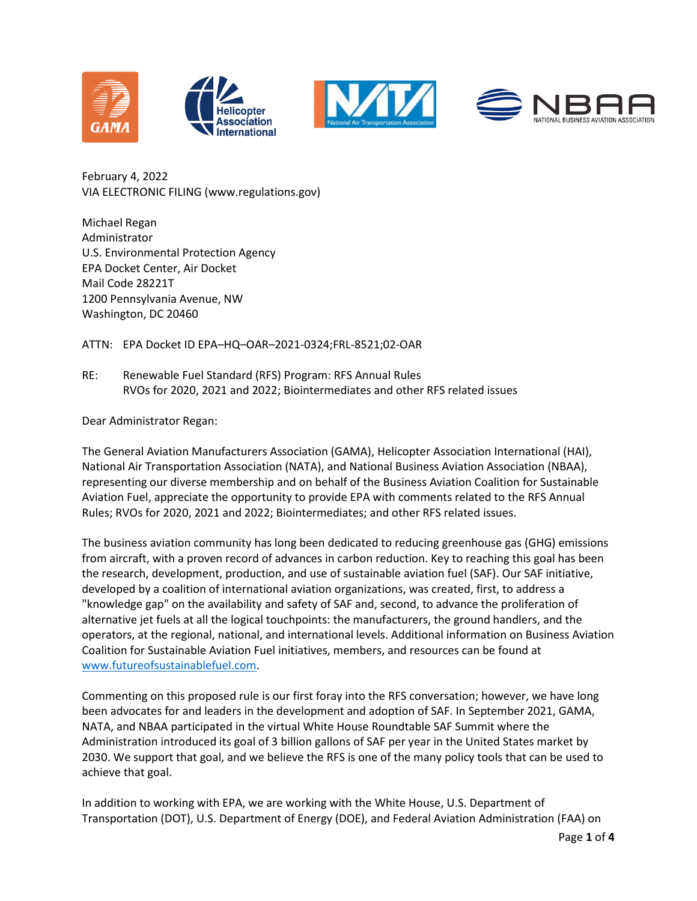







February 4, 2022 VIA ELECTRONIC FILING (www.regulations.gov)

Michael Regan Administrator U.S. Environmental Protection Agency EPA Docket Center, Air Docket Mail Code 28221T 1200 Pennsylvania Avenue, NW Washington, DC 20460

ATTN: EPA Docket ID EPA–HQ–OAR–2021-0324;FRL-8521;02-OAR

RE: Renewable Fuel Standard (RFS) Program: RFS Annual Rules RVOs for 2020, 2021 and 2022; Biointermediates and other RFS related issues

Dear Administrator Regan:

The General Aviation Manufacturers Association (GAMA), Helicopter Association International (HAI), National Air Transportation Association (NATA), and National Business Aviation Association (NBAA), representing our diverse membership and on behalf of the Business Aviation Coalition for Sustainable Aviation Fuel, appreciate the opportunity to provide EPA with comments related to the RFS Annual Rules; RVOs for 2020, 2021 and 2022; Biointermediates; and other RFS related issues.

The business aviation community has long been dedicated to reducing greenhouse gas (GHG) emissions from aircraft, with a proven record of advances in carbon reduction. Key to reaching this goal has been the research, development, production, and use of sustainable aviation fuel (SAF). Our SAF initiative, developed by a coalition of international aviation organizations, was created, first, to address a "knowledge gap" on the availability and safety of SAF and, second, to advance the proliferation of alternative jet fuels at all the logical touchpoints: the manufacturers, the ground handlers, and the operators, at the regional, national, and international levels. Additional information on Business Aviation Coalition for Sustainable Aviation Fuel initiatives, members, and resources can be found at [www.futureofsustainablefuel.com.](https://www.futureofsustainablefuel.com/)

Commenting on this proposed rule is our first foray into the RFS conversation; however, we have long been advocates for and leaders in the development and adoption of SAF. In September 2021, GAMA, NATA, and NBAA participated in the virtual White House Roundtable SAF Summit where the Administration introduced its goal of 3 billion gallons of SAF per year in the United States market by 2030. We support that goal, and we believe the RFS is one of the many policy tools that can be used to achieve that goal.

In addition to working with EPA, we are working with the White House, U.S. Department of Transportation (DOT), U.S. Department of Energy (DOE), and Federal Aviation Administration (FAA) on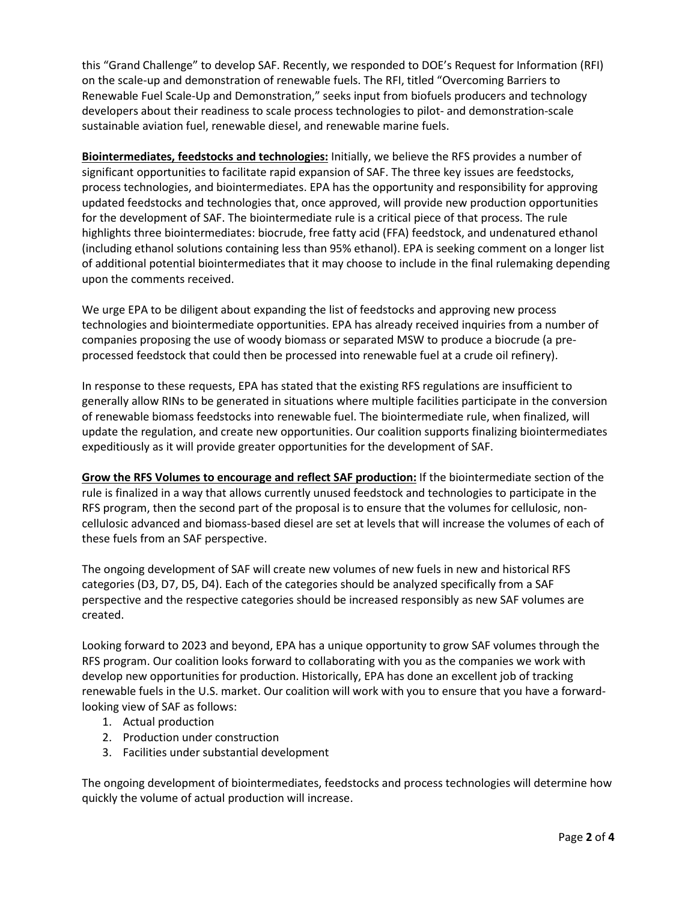this "Grand Challenge" to develop SAF. Recently, we responded to DOE's Request for Information (RFI) on the scale-up and demonstration of renewable fuels. The RFI, titled "Overcoming Barriers to Renewable Fuel Scale-Up and Demonstration," seeks input from biofuels producers and technology developers about their readiness to scale process technologies to pilot- and demonstration-scale sustainable aviation fuel, renewable diesel, and renewable marine fuels.

**Biointermediates, feedstocks and technologies:** Initially, we believe the RFS provides a number of significant opportunities to facilitate rapid expansion of SAF. The three key issues are feedstocks, process technologies, and biointermediates. EPA has the opportunity and responsibility for approving updated feedstocks and technologies that, once approved, will provide new production opportunities for the development of SAF. The biointermediate rule is a critical piece of that process. The rule highlights three biointermediates: biocrude, free fatty acid (FFA) feedstock, and undenatured ethanol (including ethanol solutions containing less than 95% ethanol). EPA is seeking comment on a longer list of additional potential biointermediates that it may choose to include in the final rulemaking depending upon the comments received.

We urge EPA to be diligent about expanding the list of feedstocks and approving new process technologies and biointermediate opportunities. EPA has already received inquiries from a number of companies proposing the use of woody biomass or separated MSW to produce a biocrude (a preprocessed feedstock that could then be processed into renewable fuel at a crude oil refinery).

In response to these requests, EPA has stated that the existing RFS regulations are insufficient to generally allow RINs to be generated in situations where multiple facilities participate in the conversion of renewable biomass feedstocks into renewable fuel. The biointermediate rule, when finalized, will update the regulation, and create new opportunities. Our coalition supports finalizing biointermediates expeditiously as it will provide greater opportunities for the development of SAF.

**Grow the RFS Volumes to encourage and reflect SAF production:** If the biointermediate section of the rule is finalized in a way that allows currently unused feedstock and technologies to participate in the RFS program, then the second part of the proposal is to ensure that the volumes for cellulosic, noncellulosic advanced and biomass-based diesel are set at levels that will increase the volumes of each of these fuels from an SAF perspective.

The ongoing development of SAF will create new volumes of new fuels in new and historical RFS categories (D3, D7, D5, D4). Each of the categories should be analyzed specifically from a SAF perspective and the respective categories should be increased responsibly as new SAF volumes are created.

Looking forward to 2023 and beyond, EPA has a unique opportunity to grow SAF volumes through the RFS program. Our coalition looks forward to collaborating with you as the companies we work with develop new opportunities for production. Historically, EPA has done an excellent job of tracking renewable fuels in the U.S. market. Our coalition will work with you to ensure that you have a forwardlooking view of SAF as follows:

- 1. Actual production
- 2. Production under construction
- 3. Facilities under substantial development

The ongoing development of biointermediates, feedstocks and process technologies will determine how quickly the volume of actual production will increase.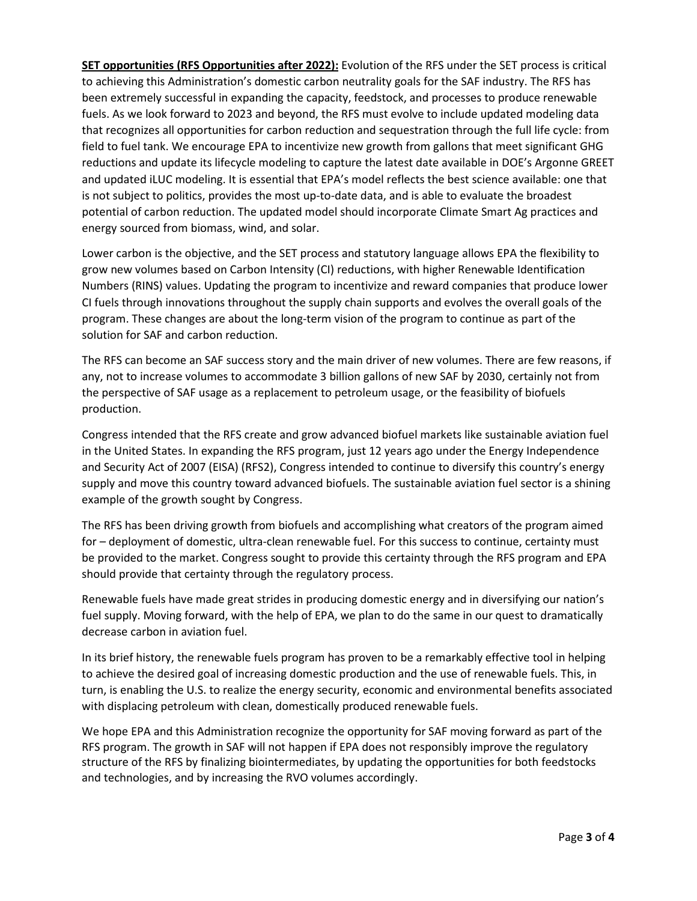**SET opportunities (RFS Opportunities after 2022):** Evolution of the RFS under the SET process is critical to achieving this Administration's domestic carbon neutrality goals for the SAF industry. The RFS has been extremely successful in expanding the capacity, feedstock, and processes to produce renewable fuels. As we look forward to 2023 and beyond, the RFS must evolve to include updated modeling data that recognizes all opportunities for carbon reduction and sequestration through the full life cycle: from field to fuel tank. We encourage EPA to incentivize new growth from gallons that meet significant GHG reductions and update its lifecycle modeling to capture the latest date available in DOE's Argonne GREET and updated iLUC modeling. It is essential that EPA's model reflects the best science available: one that is not subject to politics, provides the most up-to-date data, and is able to evaluate the broadest potential of carbon reduction. The updated model should incorporate Climate Smart Ag practices and energy sourced from biomass, wind, and solar.

Lower carbon is the objective, and the SET process and statutory language allows EPA the flexibility to grow new volumes based on Carbon Intensity (CI) reductions, with higher Renewable Identification Numbers (RINS) values. Updating the program to incentivize and reward companies that produce lower CI fuels through innovations throughout the supply chain supports and evolves the overall goals of the program. These changes are about the long-term vision of the program to continue as part of the solution for SAF and carbon reduction.

The RFS can become an SAF success story and the main driver of new volumes. There are few reasons, if any, not to increase volumes to accommodate 3 billion gallons of new SAF by 2030, certainly not from the perspective of SAF usage as a replacement to petroleum usage, or the feasibility of biofuels production.

Congress intended that the RFS create and grow advanced biofuel markets like sustainable aviation fuel in the United States. In expanding the RFS program, just 12 years ago under the Energy Independence and Security Act of 2007 (EISA) (RFS2), Congress intended to continue to diversify this country's energy supply and move this country toward advanced biofuels. The sustainable aviation fuel sector is a shining example of the growth sought by Congress.

The RFS has been driving growth from biofuels and accomplishing what creators of the program aimed for – deployment of domestic, ultra-clean renewable fuel. For this success to continue, certainty must be provided to the market. Congress sought to provide this certainty through the RFS program and EPA should provide that certainty through the regulatory process.

Renewable fuels have made great strides in producing domestic energy and in diversifying our nation's fuel supply. Moving forward, with the help of EPA, we plan to do the same in our quest to dramatically decrease carbon in aviation fuel.

In its brief history, the renewable fuels program has proven to be a remarkably effective tool in helping to achieve the desired goal of increasing domestic production and the use of renewable fuels. This, in turn, is enabling the U.S. to realize the energy security, economic and environmental benefits associated with displacing petroleum with clean, domestically produced renewable fuels.

We hope EPA and this Administration recognize the opportunity for SAF moving forward as part of the RFS program. The growth in SAF will not happen if EPA does not responsibly improve the regulatory structure of the RFS by finalizing biointermediates, by updating the opportunities for both feedstocks and technologies, and by increasing the RVO volumes accordingly.